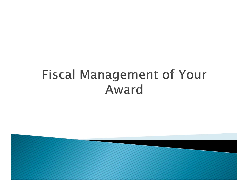## **Fiscal Management of Your** Award

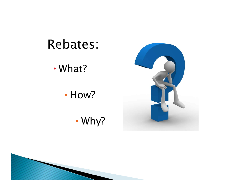

**- How?** 

T Why?



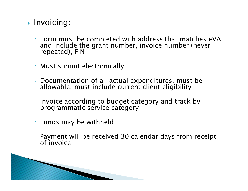- $\blacktriangleright$  Invoicing:
	- Form must be completed with address that matches eVA and include the grant number, invoice number (never repeated), FIN
	- Must submit electronically
	- Documentation of all actual expenditures, must be<br>allowable, must include current client eligibility
	- Invoice according to budget category and track by programmatic service category
	- Funds may be withheld
	- Payment will be received 30 calendar days from receipt<br>○ of invoice

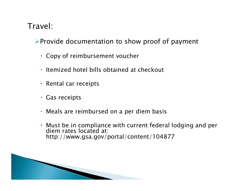## Travel:

 $\triangleright$  Provide documentation to show proof of payment

- Copy of reimbursement voucher
- Itemized hotel bills obtained at checkout
- Rental car receipts
- Gas receipts
- Meals are reimbursed on a per diem basis
- Must be in compliance with current federal lodging and per diem rates located at: http://www.gsa.gov/portal/content/104877

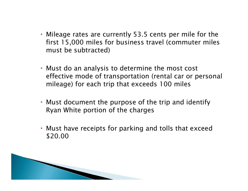- Mileage rates are currently 53.5 cents per mile for the first 15,000 miles for business travel (commuter miles must be subtracted)
- Must do an analysis to determine the most cost effective mode of transportation (rental car or personal mileage) for each trip that exceeds 100 miles
- Must document the purpose of the trip and identify Ryan White portion of the charges
- Must have receipts for parking and tolls that exceed \$20.00

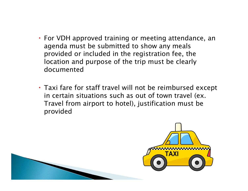- For VDH approved training or meeting attendance, an agenda must be submitted to show any meals provided or included in the registration fee, the location and purpose of the trip must be clearly documented
- Taxi fare for staff travel will not be reimbursed except in certain situations such as out of town travel (ex. Travel from airport to hotel), justification must be provided

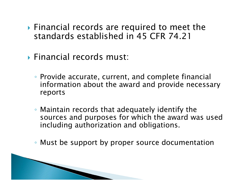- Financial records are required to meet the standards established in 45 CFR 74.21
- Financial records must:
	- Provide accurate, current, and complete financial information about the award and provide necessary reports
	- Maintain records that adequately identify the sources and purposes for which the award was used including authorization and obligations.
	- Must be support by proper source documentation

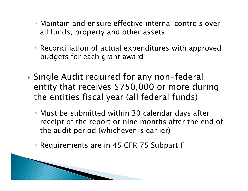- Maintain and ensure effective internal controls over all funds, property and other assets
- Reconciliation of actual expenditures with approved budgets for each grant award
- Single Audit required for any non-federal entity that receives \$750,000 or more during the entities fiscal year (all federal funds)
	- Must be submitted within 30 calendar days after receipt of the report or nine months after the end of the audit period (whichever is earlier)
	- Requirements are in 45 CFR 75 Subpart F

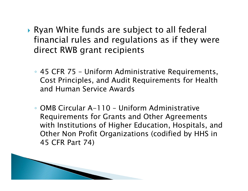- Ryan White funds are subject to all federal financial rules and regulations as if they were direct RWB grant recipients
	- 45 CFR 75 Uniform Administrative Requirements, Cost Principles, and Audit Requirements for Health and Human Service Awards
	- OMB Circular A-110 Uniform Administrative Requirements for Grants and Other Agreements with Institutions of Higher Education, Hospitals, and Other Non Profit Organizations (codified by HHS in 45 CFR Part 74)

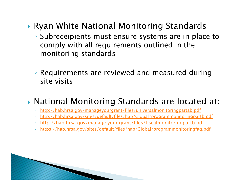- Ryan White National Monitoring Standards
	- Subreceipients must ensure systems are in place to comply with all requirements outlined in the monitoring standards
	- Requirements are reviewed and measured during site visits
- National Monitoring Standards are located at:
	- $\circ$ http://hab.hrsa.gov/manageyourgrant/files/universalmonitoringpartab.pdf
	- $\circ$ http://hab.hrsa.gov/sites/default/files/hab/Global/programmonitoringpartb.pdf
	- $\circ$ http://hab.hrsa.gov/manage your grant/files/fiscalmonitoringpartb.pdf
	- $\circ$ https://hab.hrsa.gov/sites/default/files/hab/Global/programmonitoringfaq.pdf

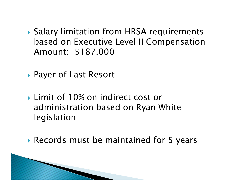- Salary limitation from HRSA requirements based on Executive Level II Compensation Amount: \$187,000
- Payer of Last Resort
- ▶ Limit of 10% on indirect cost or administration based on Ryan White legislation
- Records must be maintained for 5 years

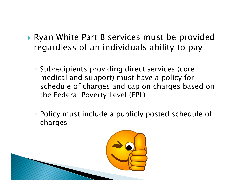- Ryan White Part B services must be provided regardless of an individuals ability to pay
	- Subrecipients providing direct services (core medical and support) must have a policy for schedule of charges and cap on charges based on the Federal Poverty Level (FPL)
	- Policy must include a publicly posted schedule of charges

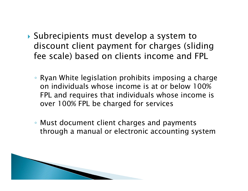- Subrecipients must develop a system to discount client payment for charges (sliding fee scale) based on clients income and FPL
	- Ryan White legislation prohibits imposing a charge on individuals whose income is at or below 100% FPL and requires that individuals whose income is over 100% FPL be charged for services
	- Must document client charges and payments through a manual or electronic accounting system

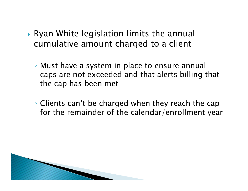- Ryan White legislation limits the annual cumulative amount charged to a client
	- Must have a system in place to ensure annual caps are not exceeded and that alerts billing that the cap has been met
	- Clients can't be charged when they reach the cap for the remainder of the calendar/enrollment year

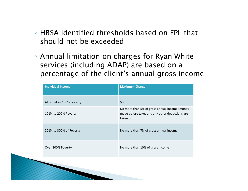- HRSA identified thresholds based on FPL that should not be exceeded
- Annual limitation on charges for Ryan White services (including ADAP) are based on a percentage of the client's annual gross income

| <b>Individual Income</b> | <b>Maximum Charge</b>                                                                                         |
|--------------------------|---------------------------------------------------------------------------------------------------------------|
| At or below 100% Poverty | \$0                                                                                                           |
| 101% to 200% Poverty     | No more than 5% of gross annual income (money<br>made before taxes and any other deductions are<br>taken out) |
| 201% to 300% of Poverty  | No more than 7% of gross annual income                                                                        |
| Over 300% Poverty        | No more than 10% of gross income                                                                              |
|                          |                                                                                                               |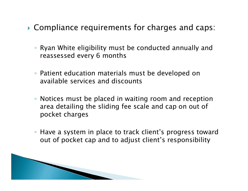- Compliance requirements for charges and caps:
	- Ryan White eligibility must be conducted annually and reassessed every 6 months
	- Patient education materials must be developed on available services and discounts
	- Notices must be placed in waiting room and reception area detailing the sliding fee scale and cap on out of pocket charges
	- Have a system in place to track client's progress toward out of pocket cap and to adjust client's responsibility

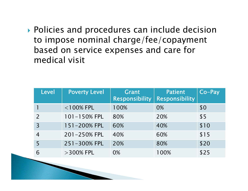Policies and procedures can include decision to impose nominal charge/fee/copayment based on service expenses and care for medical visit

| <b>Level</b>   | <b>Poverty Level</b> | Grant<br><b>Responsibility</b> | <b>Patient</b><br><b>Responsibility</b> | Co-Pay |
|----------------|----------------------|--------------------------------|-----------------------------------------|--------|
|                | $<$ 100% FPL         | 100%                           | 0%                                      | \$0    |
| $\mathcal{P}$  | 101-150% FPL         | 80%                            | 20%                                     | \$5    |
| $\overline{3}$ | 151-200% FPL         | 60%                            | 40%                                     | \$10   |
|                | 201-250% FPL         | 40%                            | 60%                                     | \$15   |
| 5              | 251-300% FPL         | 20%                            | 80%                                     | \$20   |
| 6              | $>$ 300% FPL         | 0%                             | 100%                                    | \$25   |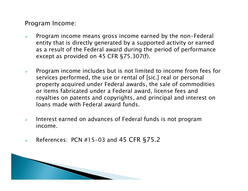Program Income:

- $\blacktriangleright$  Program income means gross income earned by the non-Federal entity that is directly generated by a supported activity or earned as a result of the Federal award during the period of performance except as provided on 45 CFR §75.307(f).
- $\blacktriangleright$  Program income includes but is not limited to income from fees for services performed, the use or rental of [sic.] real or personal property acquired under Federal awards, the sale of commodities or items fabricated under a Federal award, license fees and royalties on patents and copyrights, and principal and interest on loans made with Federal award funds.
- $\blacktriangleright$  Interest earned on advances of Federal funds is not program income.
- $\blacktriangleright$ References: PCN #15-03 and 45 CFR §75.2

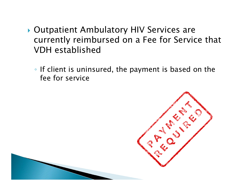- Outpatient Ambulatory HIV Services are currently reimbursed on a Fee for Service that VDH established
	- If client is uninsured, the payment is based on the fee for service

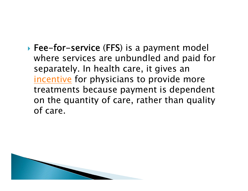Fee-for-service (FFS) is a payment model where services are unbundled and paid for separately. In health care, it gives an incentive for physicians to provide more treatments because payment is dependent on the quantity of care, rather than quality of care.

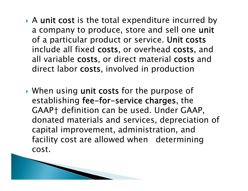- A unit cost is the total expenditure incurred by a company to produce, store and sell one unit of a particular product or service. Unit costs include all fixed costs, or overhead costs, and all variable costs, or direct material costs and direct labor costs, involved in production
- When using unit costs for the purpose of establishing fee-for-service charges, the GAAP† definition can be used. Under GAAP, donated materials and services, depreciation of capital improvement, administration, and facility cost are allowed when determining cost.

**MARTING COMMENT**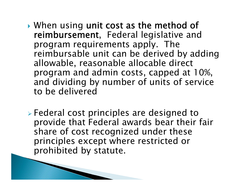- ▶ When using unit cost as the method of reimbursement, Federal legislative and program requirements apply. The reimbursable unit can be derived by adding allowable, reasonable allocable direct program and admin costs, capped at 10%, and dividing by number of units of service to be delivered
- Federal cost principles are designed to provide that Federal awards bear their fair share of cost recognized under these principles except where restricted or prohibited by statute.

**ANDREW CONTROLLER**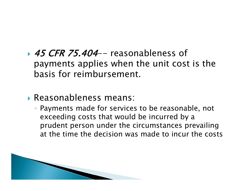- → *45 CFR 75.404*-- reasonableness of payments applies when the unit cost is the basis for reimbursement.
- Reasonableness means:
	- Payments made for services to be reasonable, not exceeding costs that would be incurred by a prudent person under the circumstances prevailing at the time the decision was made to incur the costs

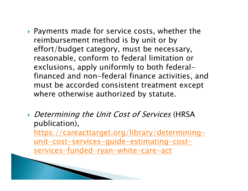- Payments made for service costs, whether the reimbursement method is by unit or by effort/budget category, must be necessary, reasonable, conform to federal limitation or exclusions, apply uniformly to both federalfinanced and non-federal finance activities, and must be accorded consistent treatment except where otherwise authorized by statute.
- Determining the Unit Cost of Services (HRSA publication), https://careacttarget.org/library/determiningunit-cost-services-guide-estimating-costservices-funded-ryan-white-care-act

**MARCON COMPOSITION**